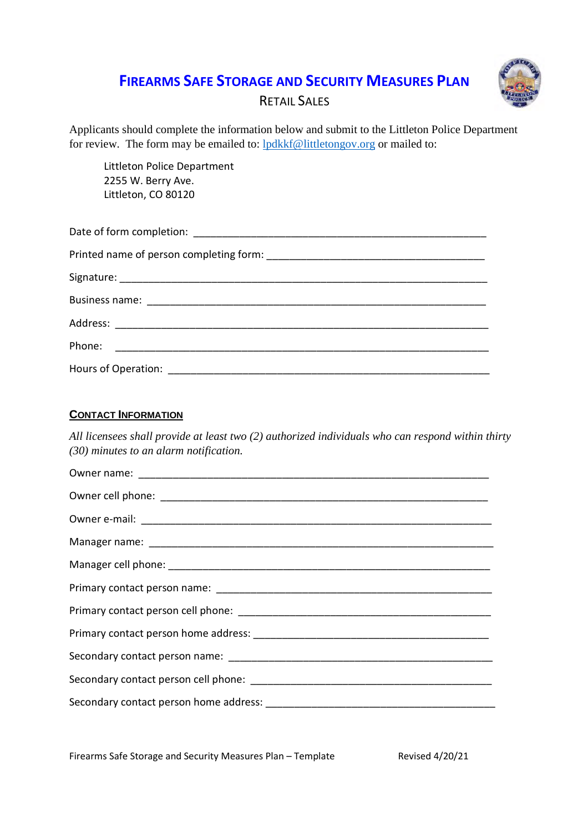## **FIREARMS SAFE STORAGE AND SECURITY MEASURES PLAN**



## RETAIL SALES

Applicants should complete the information below and submit to the Littleton Police Department for review. The form may be emailed to: lpdkkf@littletongov.org or mailed to:

Littleton Police Department 2255 W. Berry Ave. Littleton, CO 80120

#### **CONTACT INFORMATION**

*All licensees shall provide at least two (2) authorized individuals who can respond within thirty (30) minutes to an alarm notification.*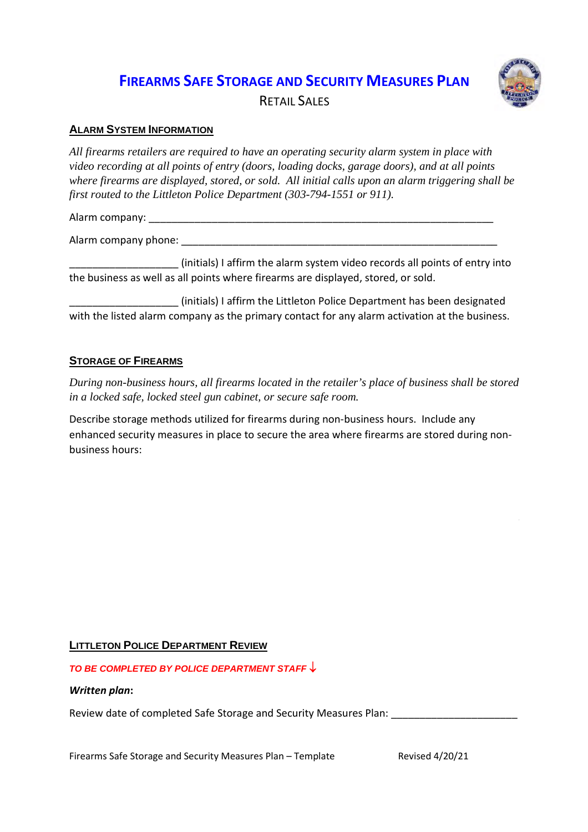## **FIREARMS SAFE STORAGE AND SECURITY MEASURES PLAN**



RETAIL SALES

### **ALARM SYSTEM INFORMATION**

*All firearms retailers are required to have an operating security alarm system in place with video recording at all points of entry (doors, loading docks, garage doors), and at all points where firearms are displayed, stored, or sold. All initial calls upon an alarm triggering shall be first routed to the Littleton Police Department (303-794-1551 or 911).*

Alarm company: \_\_\_\_\_\_\_\_\_\_\_\_\_\_\_\_\_\_\_\_\_\_\_\_\_\_\_\_\_\_\_\_\_\_\_\_\_\_\_\_\_\_\_\_\_\_\_\_\_\_\_\_\_\_\_\_\_\_\_\_

Alarm company phone: \_\_\_\_\_\_\_\_\_\_\_\_\_\_\_\_\_\_\_\_\_\_\_\_\_\_\_\_\_\_\_\_\_\_\_\_\_\_\_\_\_\_\_\_\_\_\_\_\_\_\_\_\_\_\_

\_\_\_\_\_\_\_\_\_\_\_\_\_\_\_\_\_\_\_ (initials) I affirm the alarm system video records all points of entry into the business as well as all points where firearms are displayed, stored, or sold.

(initials) I affirm the Littleton Police Department has been designated with the listed alarm company as the primary contact for any alarm activation at the business.

### **STORAGE OF FIREARMS**

*During non-business hours, all firearms located in the retailer's place of business shall be stored in a locked safe, locked steel gun cabinet, or secure safe room.*

Describe storage methods utilized for firearms during non-business hours. Include any enhanced security measures in place to secure the area where firearms are stored during nonbusiness hours:

### **LITTLETON POLICE DEPARTMENT REVIEW**

*TO BE COMPLETED BY POLICE DEPARTMENT STAFF*

#### *Written plan***:**

Review date of completed Safe Storage and Security Measures Plan: \_\_\_\_\_\_\_\_\_\_\_\_\_\_\_

Firearms Safe Storage and Security Measures Plan – Template Revised 4/20/21